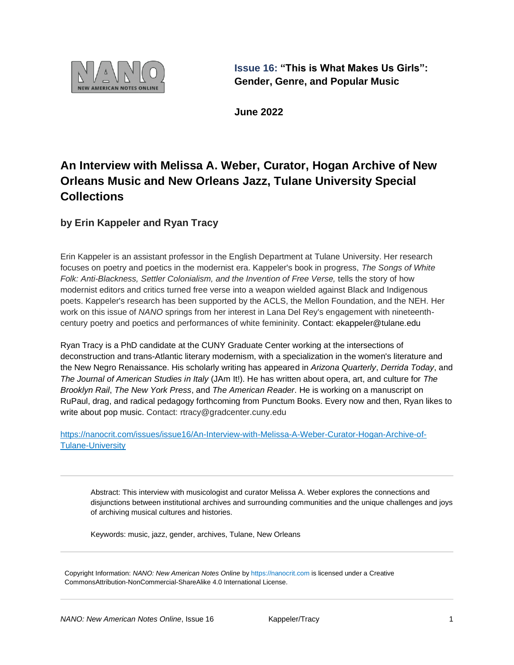

**Issue 16: "This is What Makes Us Girls": Gender, Genre, and Popular Music**

**June 2022**

## **An Interview with Melissa A. Weber, Curator, Hogan Archive of New Orleans Music and New Orleans Jazz, Tulane University Special Collections**

**by Erin Kappeler and Ryan Tracy**

Erin Kappeler is an assistant professor in the English Department at Tulane University. Her research focuses on poetry and poetics in the modernist era. Kappeler's book in progress, *The Songs of White Folk: Anti-Blackness, Settler Colonialism, and the Invention of Free Verse,* tells the story of how modernist editors and critics turned free verse into a weapon wielded against Black and Indigenous poets. Kappeler's research has been supported by the ACLS, the Mellon Foundation, and the NEH. Her work on this issue of *NANO* springs from her interest in Lana Del Rey's engagement with nineteenthcentury poetry and poetics and performances of white femininity. Contact: ekappeler@tulane.edu

Ryan Tracy is a PhD candidate at the CUNY Graduate Center working at the intersections of deconstruction and trans-Atlantic literary modernism, with a specialization in the women's literature and the New Negro Renaissance. His scholarly writing has appeared in *Arizona Quarterly*, *Derrida Today*, and *The Journal of American Studies in Italy* (JAm It!). He has written about opera, art, and culture for *The Brooklyn Rail*, *The New York Press*, and *The American Reader*. He is working on a manuscript on RuPaul, drag, and radical pedagogy forthcoming from Punctum Books. Every now and then, Ryan likes to write about pop music. Contact: rtracy@gradcenter.cuny.edu

[https://nanocrit.com/issues/issue16/An-Interview-with-Melissa-A-Weber-Curator-Hogan-Archive-of-](https://nanocrit.com/issues/issue16/An-Interview-with-Melissa-A-Weber-Curator-Hogan-Archive-of-Tulane-University)[Tulane-University](https://nanocrit.com/issues/issue16/An-Interview-with-Melissa-A-Weber-Curator-Hogan-Archive-of-Tulane-University)

Abstract: This interview with musicologist and curator Melissa A. Weber explores the connections and disjunctions between institutional archives and surrounding communities and the unique challenges and joys of archiving musical cultures and histories.

Keywords: music, jazz, gender, archives, Tulane, New Orleans

Copyright Information: *NANO: New American Notes Online* b[y https://nanocrit.com](https://nanocrit.com/) is licensed under a [Creative](http://creativecommons.org/licenses/by-nc-sa/4.0/)  [CommonsAttribution-NonCommercial-ShareAlike 4.0](http://creativecommons.org/licenses/by-nc-sa/4.0/) International License.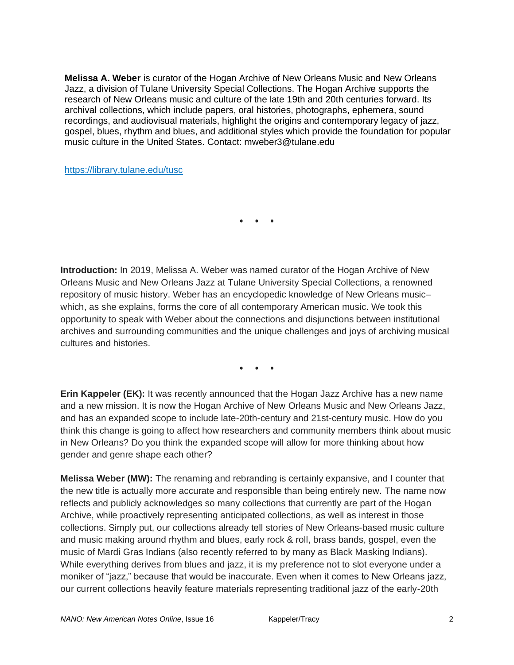**Melissa A. Weber** is curator of the Hogan Archive of New Orleans Music and New Orleans Jazz, a division of Tulane University Special Collections. The Hogan Archive supports the research of New Orleans music and culture of the late 19th and 20th centuries forward. Its archival collections, which include papers, oral histories, photographs, ephemera, sound recordings, and audiovisual materials, highlight the origins and contemporary legacy of jazz, gospel, blues, rhythm and blues, and additional styles which provide the foundation for popular music culture in the United States. Contact: mweber3@tulane.edu

<https://library.tulane.edu/tusc>

**• • •**

**Introduction:** In 2019, Melissa A. Weber was named curator of the Hogan Archive of New Orleans Music and New Orleans Jazz at Tulane University Special Collections, a renowned repository of music history. Weber has an encyclopedic knowledge of New Orleans music– which, as she explains, forms the core of all contemporary American music. We took this opportunity to speak with Weber about the connections and disjunctions between institutional archives and surrounding communities and the unique challenges and joys of archiving musical cultures and histories.

**• • •**

**Erin Kappeler (EK):** It was recently announced that the Hogan Jazz Archive has a new name and a new mission. It is now the Hogan Archive of New Orleans Music and New Orleans Jazz, and has an expanded scope to include late-20th-century and 21st-century music. How do you think this change is going to affect how researchers and community members think about music in New Orleans? Do you think the expanded scope will allow for more thinking about how gender and genre shape each other?

**Melissa Weber (MW):** The renaming and rebranding is certainly expansive, and I counter that the new title is actually more accurate and responsible than being entirely new. The name now reflects and publicly acknowledges so many collections that currently are part of the Hogan Archive, while proactively representing anticipated collections, as well as interest in those collections. Simply put, our collections already tell stories of New Orleans-based music culture and music making around rhythm and blues, early rock & roll, brass bands, gospel, even the music of Mardi Gras Indians (also recently referred to by many as Black Masking Indians). While everything derives from blues and jazz, it is my preference not to slot everyone under a moniker of "jazz," because that would be inaccurate. Even when it comes to New Orleans jazz, our current collections heavily feature materials representing traditional jazz of the early-20th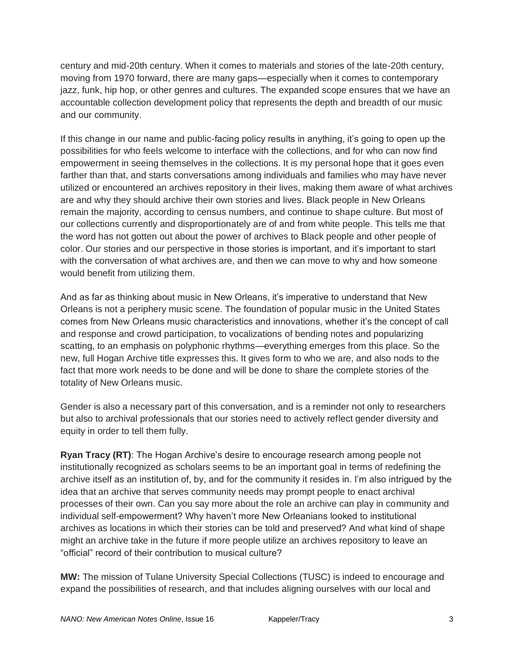century and mid-20th century. When it comes to materials and stories of the late-20th century, moving from 1970 forward, there are many gaps—especially when it comes to contemporary jazz, funk, hip hop, or other genres and cultures. The expanded scope ensures that we have an accountable collection development policy that represents the depth and breadth of our music and our community.

If this change in our name and public-facing policy results in anything, it's going to open up the possibilities for who feels welcome to interface with the collections, and for who can now find empowerment in seeing themselves in the collections. It is my personal hope that it goes even farther than that, and starts conversations among individuals and families who may have never utilized or encountered an archives repository in their lives, making them aware of what archives are and why they should archive their own stories and lives. Black people in New Orleans remain the majority, according to census numbers, and continue to shape culture. But most of our collections currently and disproportionately are of and from white people. This tells me that the word has not gotten out about the power of archives to Black people and other people of color. Our stories and our perspective in those stories is important, and it's important to start with the conversation of what archives are, and then we can move to why and how someone would benefit from utilizing them.

And as far as thinking about music in New Orleans, it's imperative to understand that New Orleans is not a periphery music scene. The foundation of popular music in the United States comes from New Orleans music characteristics and innovations, whether it's the concept of call and response and crowd participation, to vocalizations of bending notes and popularizing scatting, to an emphasis on polyphonic rhythms—everything emerges from this place. So the new, full Hogan Archive title expresses this. It gives form to who we are, and also nods to the fact that more work needs to be done and will be done to share the complete stories of the totality of New Orleans music.

Gender is also a necessary part of this conversation, and is a reminder not only to researchers but also to archival professionals that our stories need to actively reflect gender diversity and equity in order to tell them fully.

**Ryan Tracy (RT)**: The Hogan Archive's desire to encourage research among people not institutionally recognized as scholars seems to be an important goal in terms of redefining the archive itself as an institution of, by, and for the community it resides in. I'm also intrigued by the idea that an archive that serves community needs may prompt people to enact archival processes of their own. Can you say more about the role an archive can play in community and individual self-empowerment? Why haven't more New Orleanians looked to institutional archives as locations in which their stories can be told and preserved? And what kind of shape might an archive take in the future if more people utilize an archives repository to leave an "official" record of their contribution to musical culture?

**MW:** The mission of Tulane University Special Collections (TUSC) is indeed to encourage and expand the possibilities of research, and that includes aligning ourselves with our local and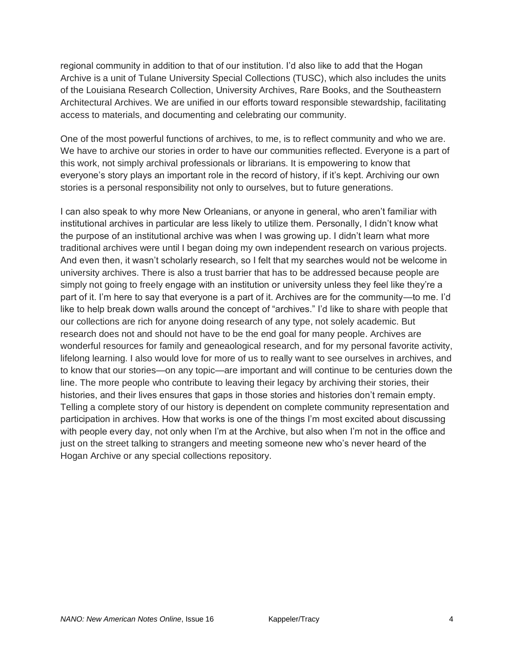regional community in addition to that of our institution. I'd also like to add that the Hogan Archive is a unit of Tulane University Special Collections (TUSC), which also includes the units of the Louisiana Research Collection, University Archives, Rare Books, and the Southeastern Architectural Archives. We are unified in our efforts toward responsible stewardship, facilitating access to materials, and documenting and celebrating our community.

One of the most powerful functions of archives, to me, is to reflect community and who we are. We have to archive our stories in order to have our communities reflected. Everyone is a part of this work, not simply archival professionals or librarians. It is empowering to know that everyone's story plays an important role in the record of history, if it's kept. Archiving our own stories is a personal responsibility not only to ourselves, but to future generations.

I can also speak to why more New Orleanians, or anyone in general, who aren't familiar with institutional archives in particular are less likely to utilize them. Personally, I didn't know what the purpose of an institutional archive was when I was growing up. I didn't learn what more traditional archives were until I began doing my own independent research on various projects. And even then, it wasn't scholarly research, so I felt that my searches would not be welcome in university archives. There is also a trust barrier that has to be addressed because people are simply not going to freely engage with an institution or university unless they feel like they're a part of it. I'm here to say that everyone is a part of it. Archives are for the community—to me. I'd like to help break down walls around the concept of "archives." I'd like to share with people that our collections are rich for anyone doing research of any type, not solely academic. But research does not and should not have to be the end goal for many people. Archives are wonderful resources for family and geneaological research, and for my personal favorite activity, lifelong learning. I also would love for more of us to really want to see ourselves in archives, and to know that our stories—on any topic—are important and will continue to be centuries down the line. The more people who contribute to leaving their legacy by archiving their stories, their histories, and their lives ensures that gaps in those stories and histories don't remain empty. Telling a complete story of our history is dependent on complete community representation and participation in archives. How that works is one of the things I'm most excited about discussing with people every day, not only when I'm at the Archive, but also when I'm not in the office and just on the street talking to strangers and meeting someone new who's never heard of the Hogan Archive or any special collections repository.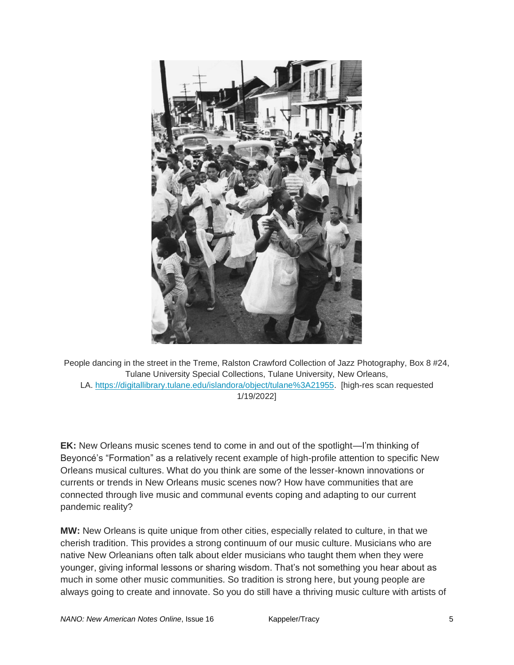

People dancing in the street in the Treme, Ralston Crawford Collection of Jazz Photography, Box 8 #24, Tulane University Special Collections, Tulane University, New Orleans, LA. [https://digitallibrary.tulane.edu/islandora/object/tulane%3A21955.](https://digitallibrary.tulane.edu/islandora/object/tulane%3A21955) [high-res scan requested 1/19/2022]

**EK:** New Orleans music scenes tend to come in and out of the spotlight—I'm thinking of Beyoncé's "Formation" as a relatively recent example of high-profile attention to specific New Orleans musical cultures. What do you think are some of the lesser-known innovations or currents or trends in New Orleans music scenes now? How have communities that are connected through live music and communal events coping and adapting to our current pandemic reality?

**MW:** New Orleans is quite unique from other cities, especially related to culture, in that we cherish tradition. This provides a strong continuum of our music culture. Musicians who are native New Orleanians often talk about elder musicians who taught them when they were younger, giving informal lessons or sharing wisdom. That's not something you hear about as much in some other music communities. So tradition is strong here, but young people are always going to create and innovate. So you do still have a thriving music culture with artists of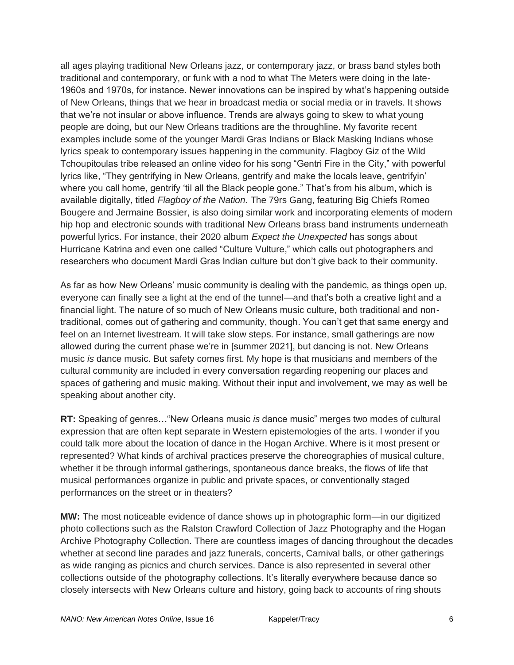all ages playing traditional New Orleans jazz, or contemporary jazz, or brass band styles both traditional and contemporary, or funk with a nod to what The Meters were doing in the late-1960s and 1970s, for instance. Newer innovations can be inspired by what's happening outside of New Orleans, things that we hear in broadcast media or social media or in travels. It shows that we're not insular or above influence. Trends are always going to skew to what young people are doing, but our New Orleans traditions are the throughline. My favorite recent examples include some of the younger Mardi Gras Indians or Black Masking Indians whose lyrics speak to contemporary issues happening in the community. Flagboy Giz of the Wild Tchoupitoulas tribe released an online video for his song "Gentri Fire in the City," with powerful lyrics like, "They gentrifying in New Orleans, gentrify and make the locals leave, gentrifyin' where you call home, gentrify 'til all the Black people gone." That's from his album, which is available digitally, titled *Flagboy of the Nation.* The 79rs Gang, featuring Big Chiefs Romeo Bougere and Jermaine Bossier, is also doing similar work and incorporating elements of modern hip hop and electronic sounds with traditional New Orleans brass band instruments underneath powerful lyrics. For instance, their 2020 album *Expect the Unexpected* has songs about Hurricane Katrina and even one called "Culture Vulture," which calls out photographers and researchers who document Mardi Gras Indian culture but don't give back to their community.

As far as how New Orleans' music community is dealing with the pandemic, as things open up, everyone can finally see a light at the end of the tunnel—and that's both a creative light and a financial light. The nature of so much of New Orleans music culture, both traditional and nontraditional, comes out of gathering and community, though. You can't get that same energy and feel on an Internet livestream. It will take slow steps. For instance, small gatherings are now allowed during the current phase we're in [summer 2021], but dancing is not. New Orleans music *is* dance music. But safety comes first. My hope is that musicians and members of the cultural community are included in every conversation regarding reopening our places and spaces of gathering and music making. Without their input and involvement, we may as well be speaking about another city.

**RT:** Speaking of genres…"New Orleans music *is* dance music" merges two modes of cultural expression that are often kept separate in Western epistemologies of the arts. I wonder if you could talk more about the location of dance in the Hogan Archive. Where is it most present or represented? What kinds of archival practices preserve the choreographies of musical culture, whether it be through informal gatherings, spontaneous dance breaks, the flows of life that musical performances organize in public and private spaces, or conventionally staged performances on the street or in theaters?

**MW:** The most noticeable evidence of dance shows up in photographic form—in our digitized photo collections such as the Ralston Crawford Collection of Jazz Photography and the Hogan Archive Photography Collection. There are countless images of dancing throughout the decades whether at second line parades and jazz funerals, concerts, Carnival balls, or other gatherings as wide ranging as picnics and church services. Dance is also represented in several other collections outside of the photography collections. It's literally everywhere because dance so closely intersects with New Orleans culture and history, going back to accounts of ring shouts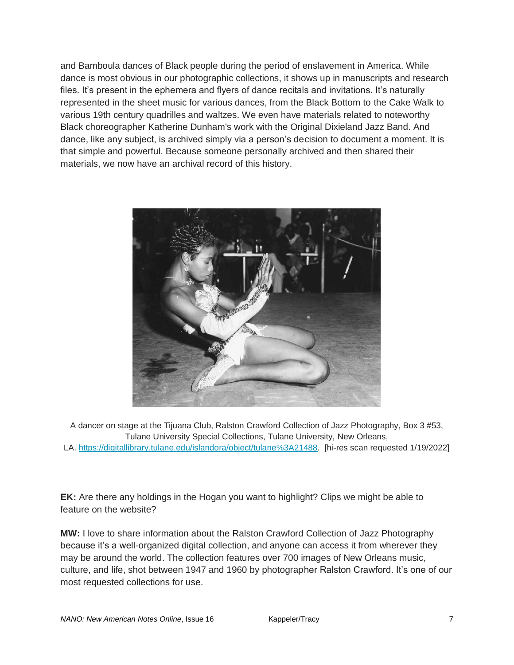and Bamboula dances of Black people during the period of enslavement in America. While dance is most obvious in our photographic collections, it shows up in manuscripts and research files. It's present in the ephemera and flyers of dance recitals and invitations. It's naturally represented in the sheet music for various dances, from the Black Bottom to the Cake Walk to various 19th century quadrilles and waltzes. We even have materials related to noteworthy Black choreographer Katherine Dunham's work with the Original Dixieland Jazz Band. And dance, like any subject, is archived simply via a person's decision to document a moment. It is that simple and powerful. Because someone personally archived and then shared their materials, we now have an archival record of this history.



A dancer on stage at the Tijuana Club, Ralston Crawford Collection of Jazz Photography, Box 3 #53, Tulane University Special Collections, Tulane University, New Orleans, LA. [https://digitallibrary.tulane.edu/islandora/object/tulane%3A21488.](https://digitallibrary.tulane.edu/islandora/object/tulane%3A21488) [hi-res scan requested 1/19/2022]

**EK:** Are there any holdings in the Hogan you want to highlight? Clips we might be able to feature on the website?

**MW:** I love to share information about the Ralston Crawford Collection of Jazz Photography because it's a well-organized digital collection, and anyone can access it from wherever they may be around the world. The collection features over 700 images of New Orleans music, culture, and life, shot between 1947 and 1960 by photographer Ralston Crawford. It's one of our most requested collections for use.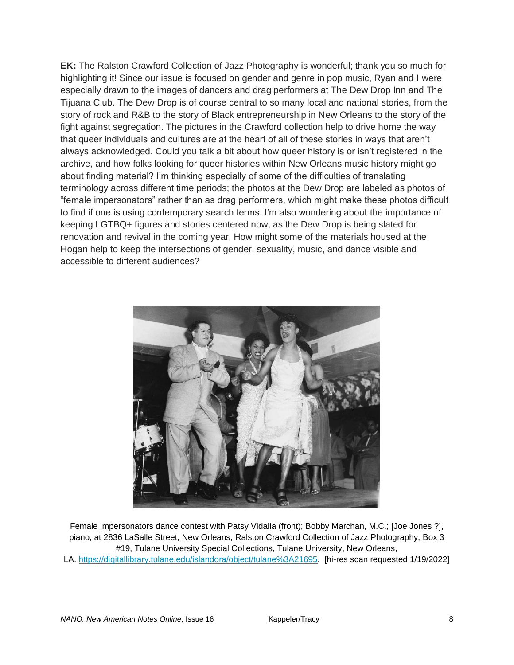**EK:** The Ralston Crawford Collection of Jazz Photography is wonderful; thank you so much for highlighting it! Since our issue is focused on gender and genre in pop music, Ryan and I were especially drawn to the images of dancers and drag performers at The Dew Drop Inn and The Tijuana Club. The Dew Drop is of course central to so many local and national stories, from the story of rock and R&B to the story of Black entrepreneurship in New Orleans to the story of the fight against segregation. The pictures in the Crawford collection help to drive home the way that queer individuals and cultures are at the heart of all of these stories in ways that aren't always acknowledged. Could you talk a bit about how queer history is or isn't registered in the archive, and how folks looking for queer histories within New Orleans music history might go about finding material? I'm thinking especially of some of the difficulties of translating terminology across different time periods; the photos at the Dew Drop are labeled as photos of "female impersonators" rather than as drag performers, which might make these photos difficult to find if one is using contemporary search terms. I'm also wondering about the importance of keeping LGTBQ+ figures and stories centered now, as the Dew Drop is being slated for renovation and revival in the coming year. How might some of the materials housed at the Hogan help to keep the intersections of gender, sexuality, music, and dance visible and accessible to different audiences?



Female impersonators dance contest with Patsy Vidalia (front); Bobby Marchan, M.C.; [Joe Jones ?], piano, at 2836 LaSalle Street, New Orleans, Ralston Crawford Collection of Jazz Photography, Box 3 #19, Tulane University Special Collections, Tulane University, New Orleans, LA. [https://digitallibrary.tulane.edu/islandora/object/tulane%3A21695.](https://digitallibrary.tulane.edu/islandora/object/tulane%3A21695) [hi-res scan requested 1/19/2022]